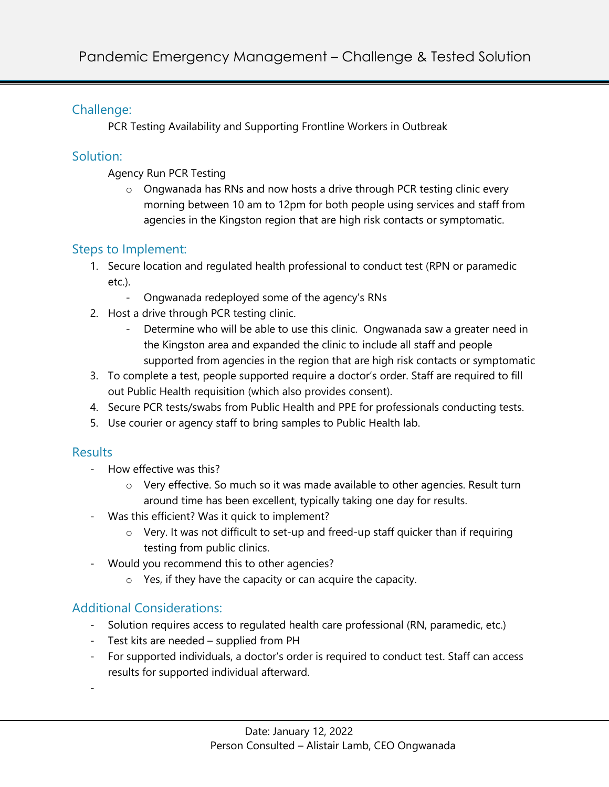### Challenge:

PCR Testing Availability and Supporting Frontline Workers in Outbreak

### Solution:

Agency Run PCR Testing

o Ongwanada has RNs and now hosts a drive through PCR testing clinic every morning between 10 am to 12pm for both people using services and staff from agencies in the Kingston region that are high risk contacts or symptomatic.

# Steps to Implement:

- 1. Secure location and regulated health professional to conduct test (RPN or paramedic etc.).
	- Ongwanada redeployed some of the agency's RNs
- 2. Host a drive through PCR testing clinic.
	- Determine who will be able to use this clinic. Ongwanada saw a greater need in the Kingston area and expanded the clinic to include all staff and people supported from agencies in the region that are high risk contacts or symptomatic
- 3. To complete a test, people supported require a doctor's order. Staff are required to fill out Public Health requisition (which also provides consent).
- 4. Secure PCR tests/swabs from Public Health and PPE for professionals conducting tests.
- 5. Use courier or agency staff to bring samples to Public Health lab.

#### **Results**

- How effective was this?
	- $\circ$  Very effective. So much so it was made available to other agencies. Result turn around time has been excellent, typically taking one day for results.
- Was this efficient? Was it quick to implement?
	- $\circ$  Very. It was not difficult to set-up and freed-up staff quicker than if requiring testing from public clinics.
- Would you recommend this to other agencies?
	- o Yes, if they have the capacity or can acquire the capacity.

# Additional Considerations:

- Solution requires access to regulated health care professional (RN, paramedic, etc.)
- Test kits are needed supplied from PH
- For supported individuals, a doctor's order is required to conduct test. Staff can access results for supported individual afterward.
- -